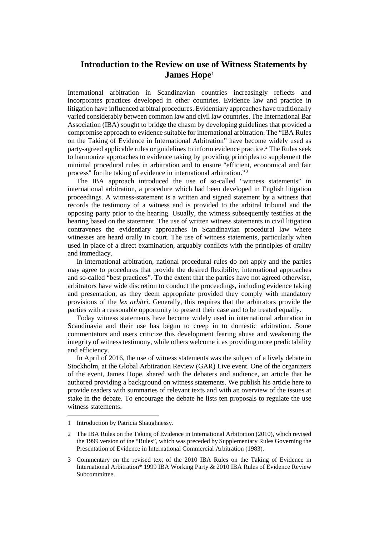## **Introduction to the Review on use of Witness Statements by James Hope**[1](#page-0-0)

International arbitration in Scandinavian countries increasingly reflects and incorporates practices developed in other countries. Evidence law and practice in litigation have influenced arbitral procedures. Evidentiary approaches have traditionally varied considerably between common law and civil law countries. The International Bar Association (IBA) sought to bridge the chasm by developing guidelines that provided a compromise approach to evidence suitable for international arbitration. The "IBA Rules on the Taking of Evidence in International Arbitration" have become widely used as party-agreed applicable rules or guidelines to inform evidence practice.<sup>[2](#page-0-1)</sup> The Rules seek to harmonize approaches to evidence taking by providing principles to supplement the minimal procedural rules in arbitration and to ensure "efficient, economical and fair process" for the taking of evidence in international arbitration."[3](#page-0-2)

The IBA approach introduced the use of so-called "witness statements" in international arbitration, a procedure which had been developed in English litigation proceedings. A witness-statement is a written and signed statement by a witness that records the testimony of a witness and is provided to the arbitral tribunal and the opposing party prior to the hearing. Usually, the witness subsequently testifies at the hearing based on the statement. The use of written witness statements in civil litigation contravenes the evidentiary approaches in Scandinavian procedural law where witnesses are heard orally in court. The use of witness statements, particularly when used in place of a direct examination, arguably conflicts with the principles of orality and immediacy.

In international arbitration, national procedural rules do not apply and the parties may agree to procedures that provide the desired flexibility, international approaches and so-called "best practices". To the extent that the parties have not agreed otherwise, arbitrators have wide discretion to conduct the proceedings, including evidence taking and presentation, as they deem appropriate provided they comply with mandatory provisions of the *lex arbitri*. Generally, this requires that the arbitrators provide the parties with a reasonable opportunity to present their case and to be treated equally.

Today witness statements have become widely used in international arbitration in Scandinavia and their use has begun to creep in to domestic arbitration. Some commentators and users criticize this development fearing abuse and weakening the integrity of witness testimony, while others welcome it as providing more predictability and efficiency.

In April of 2016, the use of witness statements was the subject of a lively debate in Stockholm, at the Global Arbitration Review (GAR) Live event. One of the organizers of the event, James Hope, shared with the debaters and audience, an article that he authored providing a background on witness statements. We publish his article here to provide readers with summaries of relevant texts and with an overview of the issues at stake in the debate. To encourage the debate he lists ten proposals to regulate the use witness statements.

l

<span id="page-0-0"></span><sup>1</sup> Introduction by Patricia Shaughnessy.

<span id="page-0-1"></span><sup>2</sup> The IBA Rules on the Taking of Evidence in International Arbitration (2010), which revised the 1999 version of the "Rules", which was preceded by Supplementary Rules Governing the Presentation of Evidence in International Commercial Arbitration (1983).

<span id="page-0-2"></span><sup>3</sup> Commentary on the revised text of the 2010 IBA Rules on the Taking of Evidence in International Arbitration\* 1999 IBA Working Party & 2010 IBA Rules of Evidence Review Subcommittee.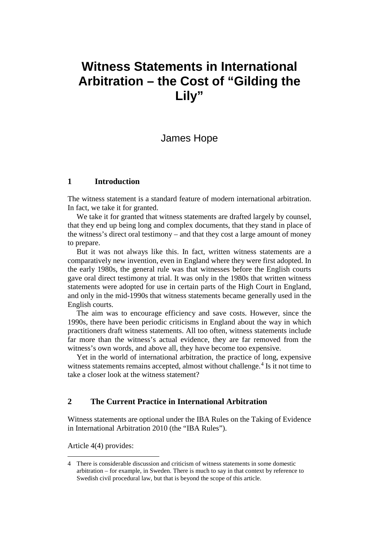# **Witness Statements in International Arbitration – the Cost of "Gilding the Lily"**

# James Hope

## **1 Introduction**

The witness statement is a standard feature of modern international arbitration. In fact, we take it for granted.

We take it for granted that witness statements are drafted largely by counsel, that they end up being long and complex documents, that they stand in place of the witness's direct oral testimony – and that they cost a large amount of money to prepare.

But it was not always like this. In fact, written witness statements are a comparatively new invention, even in England where they were first adopted. In the early 1980s, the general rule was that witnesses before the English courts gave oral direct testimony at trial. It was only in the 1980s that written witness statements were adopted for use in certain parts of the High Court in England, and only in the mid-1990s that witness statements became generally used in the English courts.

The aim was to encourage efficiency and save costs. However, since the 1990s, there have been periodic criticisms in England about the way in which practitioners draft witness statements. All too often, witness statements include far more than the witness's actual evidence, they are far removed from the witness's own words, and above all, they have become too expensive.

Yet in the world of international arbitration, the practice of long, expensive witness statements remains accepted, almost without challenge.<sup>[4](#page-1-0)</sup> Is it not time to take a closer look at the witness statement?

## **2 The Current Practice in International Arbitration**

Witness statements are optional under the IBA Rules on the Taking of Evidence in International Arbitration 2010 (the "IBA Rules").

Article 4(4) provides:

l

<span id="page-1-0"></span><sup>4</sup> There is considerable discussion and criticism of witness statements in some domestic arbitration – for example, in Sweden. There is much to say in that context by reference to Swedish civil procedural law, but that is beyond the scope of this article.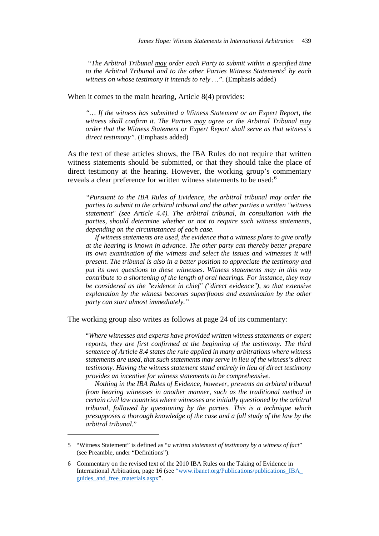*"The Arbitral Tribunal may order each Party to submit within a specified time to the Arbitral Tribunal and to the other Parties Witness Statements[5](#page-2-0) by each witness on whose testimony it intends to rely …".* (Emphasis added)

When it comes to the main hearing, Article 8(4) provides:

*"… If the witness has submitted a Witness Statement or an Expert Report, the witness shall confirm it. The Parties may agree or the Arbitral Tribunal may order that the Witness Statement or Expert Report shall serve as that witness's direct testimony".* (Emphasis added)

As the text of these articles shows, the IBA Rules do not require that written witness statements should be submitted, or that they should take the place of direct testimony at the hearing. However, the working group's commentary reveals a clear preference for written witness statements to be used:<sup>[6](#page-2-1)</sup>

*"Pursuant to the IBA Rules of Evidence, the arbitral tribunal may order the parties to submit to the arbitral tribunal and the other parties a written "witness statement" (see Article 4.4). The arbitral tribunal, in consultation with the parties, should determine whether or not to require such witness statements, depending on the circumstances of each case.* 

*If witness statements are used, the evidence that a witness plans to give orally at the hearing is known in advance. The other party can thereby better prepare its own examination of the witness and select the issues and witnesses it will present. The tribunal is also in a better position to appreciate the testimony and put its own questions to these witnesses. Witness statements may in this way contribute to a shortening of the length of oral hearings. For instance, they may be considered as the "evidence in chief" ("direct evidence"), so that extensive explanation by the witness becomes superfluous and examination by the other party can start almost immediately."*

The working group also writes as follows at page 24 of its commentary:

"*Where witnesses and experts have provided written witness statements or expert reports, they are first confirmed at the beginning of the testimony. The third sentence of Article 8.4 states the rule applied in many arbitrations where witness statements are used, that such statements may serve in lieu of the witness's direct testimony. Having the witness statement stand entirely in lieu of direct testimony provides an incentive for witness statements to be comprehensive.* 

*Nothing in the IBA Rules of Evidence, however, prevents an arbitral tribunal from hearing witnesses in another manner, such as the traditional method in certain civil law countries where witnesses are initially questioned by the arbitral tribunal, followed by questioning by the parties. This is a technique which presupposes a thorough knowledge of the case and a full study of the law by the arbitral tribunal.*"

 $\overline{\phantom{a}}$ 

<span id="page-2-0"></span><sup>5</sup> "Witness Statement" is defined as "*a written statement of testimony by a witness of fact*" (see Preamble, under "Definitions").

<span id="page-2-1"></span><sup>6</sup> Commentary on the revised text of the 2010 IBA Rules on the Taking of Evidence in International Arbitration, page 16 (see ["www.ibanet.org/Publications/publications\\_IBA\\_](http://)  guides and free materials.aspx".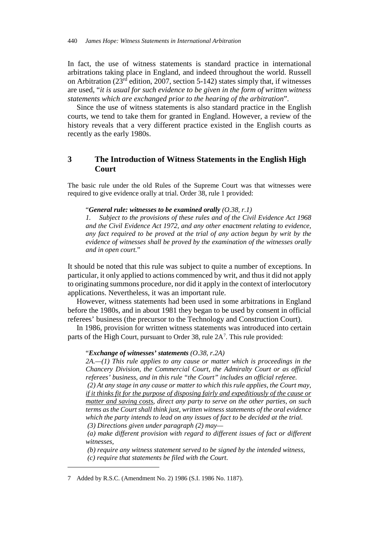In fact, the use of witness statements is standard practice in international arbitrations taking place in England, and indeed throughout the world. Russell on Arbitration ( $23<sup>rd</sup>$  edition, 2007, section 5-142) states simply that, if witnesses are used, "*it is usual for such evidence to be given in the form of written witness statements which are exchanged prior to the hearing of the arbitration*".

Since the use of witness statements is also standard practice in the English courts, we tend to take them for granted in England. However, a review of the history reveals that a very different practice existed in the English courts as recently as the early 1980s.

## **3 The Introduction of Witness Statements in the English High Court**

The basic rule under the old Rules of the Supreme Court was that witnesses were required to give evidence orally at trial. Order 38, rule 1 provided:

#### "*General rule: witnesses to be examined orally (O.38, r.1)*

*1. Subject to the provisions of these rules and of the Civil Evidence Act 1968 and the Civil Evidence Act 1972, and any other enactment relating to evidence, any fact required to be proved at the trial of any action begun by writ by the evidence of witnesses shall be proved by the examination of the witnesses orally and in open court.*"

It should be noted that this rule was subject to quite a number of exceptions. In particular, it only applied to actions commenced by writ, and thus it did not apply to originating summons procedure, nor did it apply in the context of interlocutory applications. Nevertheless, it was an important rule.

However, witness statements had been used in some arbitrations in England before the 1980s, and in about 1981 they began to be used by consent in official referees' business (the precursor to the Technology and Construction Court).

In 1986, provision for written witness statements was introduced into certain parts of the High Court, pursuant to Order 38, rule 2A<sup>[7](#page-3-0)</sup>. This rule provided:

#### "*Exchange of witnesses' statements (O.38, r.2A)*

*2A.—(1) This rule applies to any cause or matter which is proceedings in the Chancery Division, the Commercial Court, the Admiralty Court or as official referees' business, and in this rule "the Court" includes an official referee.*

*(2) At any stage in any cause or matter to which this rule applies, the Court may, if it thinks fit for the purpose of disposing fairly and expeditiously of the cause or matter and saving costs, direct any party to serve on the other parties, on such terms as the Court shall think just, written witness statements of the oral evidence which the party intends to lead on any issues of fact to be decided at the trial. (3) Directions given under paragraph (2) may—*

*(a) make different provision with regard to different issues of fact or different witnesses,*

*(b) require any witness statement served to be signed by the intended witness, (c) require that statements be filed with the Court.*

l

<span id="page-3-0"></span><sup>7</sup> Added by R.S.C. (Amendment No. 2) 1986 (S.I. 1986 No. 1187).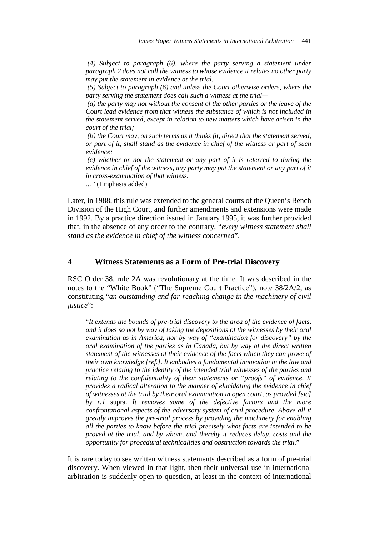*(4) Subject to paragraph (6), where the party serving a statement under paragraph 2 does not call the witness to whose evidence it relates no other party may put the statement in evidence at the trial.*

*(5) Subject to paragraph (6) and unless the Court otherwise orders, where the party serving the statement does call such a witness at the trial—*

*(a) the party may not without the consent of the other parties or the leave of the Court lead evidence from that witness the substance of which is not included in the statement served, except in relation to new matters which have arisen in the court of the trial;*

*(b) the Court may, on such terms as it thinks fit, direct that the statement served, or part of it, shall stand as the evidence in chief of the witness or part of such evidence;*

*(c) whether or not the statement or any part of it is referred to during the evidence in chief of the witness, any party may put the statement or any part of it in cross-examination of that witness.*

*…*" (Emphasis added)

Later, in 1988, this rule was extended to the general courts of the Queen's Bench Division of the High Court, and further amendments and extensions were made in 1992. By a practice direction issued in January 1995, it was further provided that, in the absence of any order to the contrary, "*every witness statement shall stand as the evidence in chief of the witness concerned*".

## **4 Witness Statements as a Form of Pre-trial Discovery**

RSC Order 38, rule 2A was revolutionary at the time. It was described in the notes to the "White Book" ("The Supreme Court Practice"), note 38/2A/2, as constituting "*an outstanding and far-reaching change in the machinery of civil justice*":

"*It extends the bounds of pre-trial discovery to the area of the evidence of facts, and it does so not by way of taking the depositions of the witnesses by their oral examination as in America, nor by way of "examination for discovery" by the oral examination of the parties as in Canada, but by way of the direct written statement of the witnesses of their evidence of the facts which they can prove of their own knowledge [ref.]. It embodies a fundamental innovation in the law and practice relating to the identity of the intended trial witnesses of the parties and relating to the confidentiality of their statements or "proofs" of evidence. It provides a radical alteration to the manner of elucidating the evidence in chief of witnesses at the trial by their oral examination in open court, as provded [sic] by r.1* supra*. It removes some of the defective factors and the more confrontational aspects of the adversary system of civil procedure. Above all it greatly improves the pre-trial process by providing the machinery for enabling all the parties to know before the trial precisely what facts are intended to be proved at the trial, and by whom, and thereby it reduces delay, costs and the opportunity for procedural technicalities and obstruction towards the trial.*"

It is rare today to see written witness statements described as a form of pre-trial discovery. When viewed in that light, then their universal use in international arbitration is suddenly open to question, at least in the context of international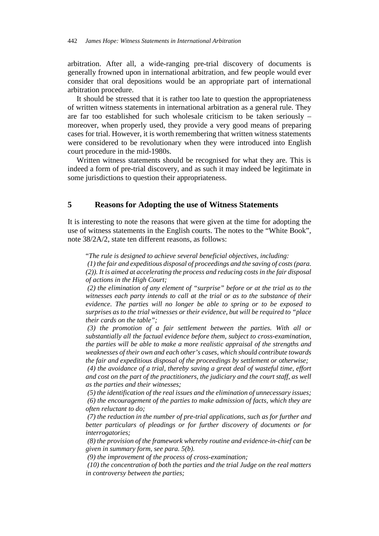arbitration. After all, a wide-ranging pre-trial discovery of documents is generally frowned upon in international arbitration, and few people would ever consider that oral depositions would be an appropriate part of international arbitration procedure.

It should be stressed that it is rather too late to question the appropriateness of written witness statements in international arbitration as a general rule. They are far too established for such wholesale criticism to be taken seriously – moreover, when properly used, they provide a very good means of preparing cases for trial. However, it is worth remembering that written witness statements were considered to be revolutionary when they were introduced into English court procedure in the mid-1980s.

Written witness statements should be recognised for what they are. This is indeed a form of pre-trial discovery, and as such it may indeed be legitimate in some jurisdictions to question their appropriateness.

### **5 Reasons for Adopting the use of Witness Statements**

It is interesting to note the reasons that were given at the time for adopting the use of witness statements in the English courts. The notes to the "White Book", note 38/2A/2, state ten different reasons, as follows:

"*The rule is designed to achieve several beneficial objectives, including:*

*(1) the fair and expeditious disposal of proceedings and the saving of costs (para. (2)). It is aimed at accelerating the process and reducing costs in the fair disposal of actions in the High Court;*

*(2) the elimination of any element of "surprise" before or at the trial as to the witnesses each party intends to call at the trial or as to the substance of their evidence. The parties will no longer be able to spring or to be exposed to surprises as to the trial witnesses or their evidence, but will be required to "place their cards on the table";*

*(3) the promotion of a fair settlement between the parties. With all or substantially all the factual evidence before them, subject to cross-examination, the parties will be able to make a more realistic appraisal of the strengths and weaknesses of their own and each other's cases, which should contribute towards the fair and expeditious disposal of the proceedings by settlement or otherwise;*

*(4) the avoidance of a trial, thereby saving a great deal of wasteful time, effort and cost on the part of the practitioners, the judiciary and the court staff, as well as the parties and their witnesses;*

*(5) the identification of the real issues and the elimination of unnecessary issues; (6) the encouragement of the parties to make admission of facts, which they are often reluctant to do;*

*(7) the reduction in the number of pre-trial applications, such as for further and better particulars of pleadings or for further discovery of documents or for interrogatories;*

*(8) the provision of the framework whereby routine and evidence-in-chief can be given in summary form, see para. 5(b).*

*(9) the improvement of the process of cross-examination;*

*(10) the concentration of both the parties and the trial Judge on the real matters in controversy between the parties;*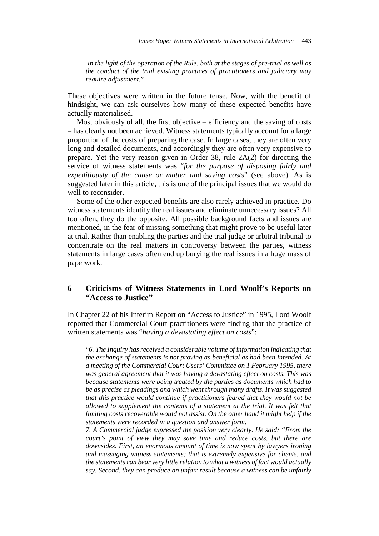*In the light of the operation of the Rule, both at the stages of pre-trial as well as the conduct of the trial existing practices of practitioners and judiciary may require adjustment.*"

These objectives were written in the future tense. Now, with the benefit of hindsight, we can ask ourselves how many of these expected benefits have actually materialised.

Most obviously of all, the first objective – efficiency and the saving of costs – has clearly not been achieved. Witness statements typically account for a large proportion of the costs of preparing the case. In large cases, they are often very long and detailed documents, and accordingly they are often very expensive to prepare. Yet the very reason given in Order 38, rule 2A(2) for directing the service of witness statements was "*for the purpose of disposing fairly and expeditiously of the cause or matter and saving costs*" (see above). As is suggested later in this article, this is one of the principal issues that we would do well to reconsider.

Some of the other expected benefits are also rarely achieved in practice. Do witness statements identify the real issues and eliminate unnecessary issues? All too often, they do the opposite. All possible background facts and issues are mentioned, in the fear of missing something that might prove to be useful later at trial. Rather than enabling the parties and the trial judge or arbitral tribunal to concentrate on the real matters in controversy between the parties, witness statements in large cases often end up burying the real issues in a huge mass of paperwork.

## **6 Criticisms of Witness Statements in Lord Woolf's Reports on "Access to Justice"**

In Chapter 22 of his Interim Report on "Access to Justice" in 1995, Lord Woolf reported that Commercial Court practitioners were finding that the practice of written statements was "*having a devastating effect on costs*":

"*6. The Inquiry has received a considerable volume of information indicating that the exchange of statements is not proving as beneficial as had been intended. At a meeting of the Commercial Court Users' Committee on 1 February 1995, there was general agreement that it was having a devastating effect on costs. This was because statements were being treated by the parties as documents which had to be as precise as pleadings and which went through many drafts. It was suggested that this practice would continue if practitioners feared that they would not be allowed to supplement the contents of a statement at the trial. It was felt that limiting costs recoverable would not assist. On the other hand it might help if the statements were recorded in a question and answer form.*

*7. A Commercial judge expressed the position very clearly. He said: "From the court's point of view they may save time and reduce costs, but there are downsides. First, an enormous amount of time is now spent by lawyers ironing and massaging witness statements; that is extremely expensive for clients, and the statements can bear very little relation to what a witness of fact would actually say. Second, they can produce an unfair result because a witness can be unfairly*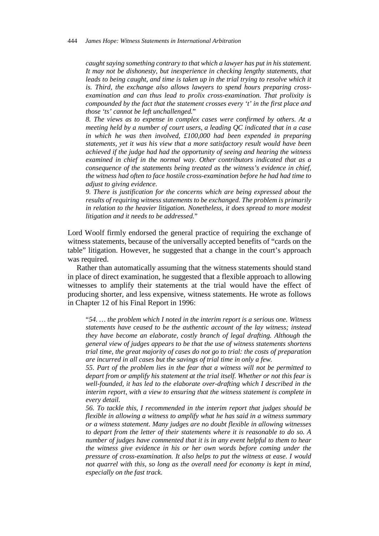*caught saying something contrary to that which a lawyer has put in his statement. It may not be dishonesty, but inexperience in checking lengthy statements, that*  leads to being caught, and time is taken up in the trial trying to resolve which it *is. Third, the exchange also allows lawyers to spend hours preparing crossexamination and can thus lead to prolix cross-examination. That prolixity is compounded by the fact that the statement crosses every 't' in the first place and those 'ts' cannot be left unchallenged.*"

*8. The views as to expense in complex cases were confirmed by others. At a meeting held by a number of court users, a leading QC indicated that in a case in which he was then involved, £100,000 had been expended in preparing statements, yet it was his view that a more satisfactory result would have been achieved if the judge had had the opportunity of seeing and hearing the witness examined in chief in the normal way. Other contributors indicated that as a consequence of the statements being treated as the witness's evidence in chief, the witness had often to face hostile cross-examination before he had had time to adjust to giving evidence.*

*9. There is justification for the concerns which are being expressed about the results of requiring witness statements to be exchanged. The problem is primarily in relation to the heavier litigation. Nonetheless, it does spread to more modest litigation and it needs to be addressed.*"

Lord Woolf firmly endorsed the general practice of requiring the exchange of witness statements, because of the universally accepted benefits of "cards on the table" litigation. However, he suggested that a change in the court's approach was required.

Rather than automatically assuming that the witness statements should stand in place of direct examination, he suggested that a flexible approach to allowing witnesses to amplify their statements at the trial would have the effect of producing shorter, and less expensive, witness statements. He wrote as follows in Chapter 12 of his Final Report in 1996:

"*54. … the problem which I noted in the interim report is a serious one. Witness statements have ceased to be the authentic account of the lay witness; instead they have become an elaborate, costly branch of legal drafting. Although the general view of judges appears to be that the use of witness statements shortens trial time, the great majority of cases do not go to trial: the costs of preparation are incurred in all cases but the savings of trial time in only a few.* 

*55. Part of the problem lies in the fear that a witness will not be permitted to depart from or amplify his statement at the trial itself. Whether or not this fear is well-founded, it has led to the elaborate over-drafting which I described in the interim report, with a view to ensuring that the witness statement is complete in every detail.* 

*56. To tackle this, I recommended in the interim report that judges should be flexible in allowing a witness to amplify what he has said in a witness summary or a witness statement. Many judges are no doubt flexible in allowing witnesses to depart from the letter of their statements where it is reasonable to do so. A number of judges have commented that it is in any event helpful to them to hear the witness give evidence in his or her own words before coming under the pressure of cross-examination. It also helps to put the witness at ease. I would not quarrel with this, so long as the overall need for economy is kept in mind, especially on the fast track.*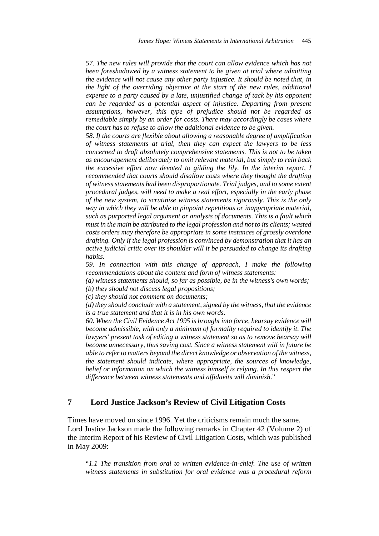*57. The new rules will provide that the court can allow evidence which has not been foreshadowed by a witness statement to be given at trial where admitting the evidence will not cause any other party injustice. It should be noted that, in the light of the overriding objective at the start of the new rules, additional expense to a party caused by a late, unjustified change of tack by his opponent can be regarded as a potential aspect of injustice. Departing from present assumptions, however, this type of prejudice should not be regarded as remediable simply by an order for costs. There may accordingly be cases where the court has to refuse to allow the additional evidence to be given.* 

*58. If the courts are flexible about allowing a reasonable degree of amplification of witness statements at trial, then they can expect the lawyers to be less concerned to draft absolutely comprehensive statements. This is not to be taken as encouragement deliberately to omit relevant material, but simply to rein back the excessive effort now devoted to gilding the lily. In the interim report, I recommended that courts should disallow costs where they thought the drafting of witness statements had been disproportionate. Trial judges, and to some extent procedural judges, will need to make a real effort, especially in the early phase of the new system, to scrutinise witness statements rigorously. This is the only way in which they will be able to pinpoint repetitious or inappropriate material, such as purported legal argument or analysis of documents. This is a fault which must in the main be attributed to the legal profession and not to its clients; wasted costs orders may therefore be appropriate in some instances of grossly overdone drafting. Only if the legal profession is convinced by demonstration that it has an active judicial critic over its shoulder will it be persuaded to change its drafting habits.* 

*59. In connection with this change of approach, I make the following recommendations about the content and form of witness statements:* 

*(a) witness statements should, so far as possible, be in the witness's own words; (b) they should not discuss legal propositions;* 

*(c) they should not comment on documents;* 

*(d) they should conclude with a statement, signed by the witness, that the evidence is a true statement and that it is in his own words.* 

*60. When the Civil Evidence Act 1995 is brought into force, hearsay evidence will become admissible, with only a minimum of formality required to identify it. The lawyers' present task of editing a witness statement so as to remove hearsay will become unnecessary, thus saving cost. Since a witness statement will in future be able to refer to matters beyond the direct knowledge or observation of the witness, the statement should indicate, where appropriate, the sources of knowledge, belief or information on which the witness himself is relying. In this respect the difference between witness statements and affidavits will diminish*."

## **7 Lord Justice Jackson's Review of Civil Litigation Costs**

Times have moved on since 1996. Yet the criticisms remain much the same. Lord Justice Jackson made the following remarks in Chapter 42 (Volume 2) of the Interim Report of his Review of Civil Litigation Costs, which was published in May 2009:

"*1.1 The transition from oral to written evidence-in-chief. The use of written witness statements in substitution for oral evidence was a procedural reform*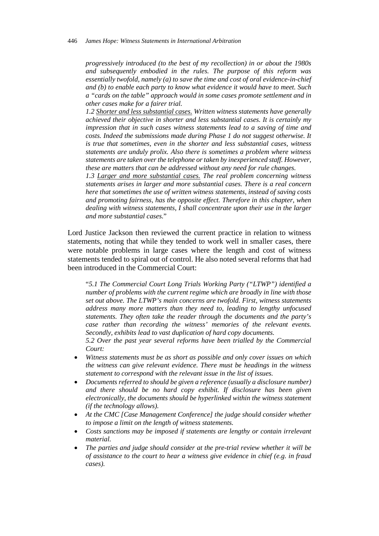*progressively introduced (to the best of my recollection) in or about the 1980s and subsequently embodied in the rules. The purpose of this reform was essentially twofold, namely (a) to save the time and cost of oral evidence-in-chief and (b) to enable each party to know what evidence it would have to meet. Such a "cards on the table" approach would in some cases promote settlement and in other cases make for a fairer trial.* 

*1.2 Shorter and less substantial cases. Written witness statements have generally achieved their objective in shorter and less substantial cases. It is certainly my impression that in such cases witness statements lead to a saving of time and costs. Indeed the submissions made during Phase 1 do not suggest otherwise. It is true that sometimes, even in the shorter and less substantial cases, witness statements are unduly prolix. Also there is sometimes a problem where witness statements are taken over the telephone or taken by inexperienced staff. However, these are matters that can be addressed without any need for rule changes.* 

*1.3 Larger and more substantial cases. The real problem concerning witness statements arises in larger and more substantial cases. There is a real concern here that sometimes the use of written witness statements, instead of saving costs and promoting fairness, has the opposite effect. Therefore in this chapter, when dealing with witness statements, I shall concentrate upon their use in the larger and more substantial cases.*"

Lord Justice Jackson then reviewed the current practice in relation to witness statements, noting that while they tended to work well in smaller cases, there were notable problems in large cases where the length and cost of witness statements tended to spiral out of control. He also noted several reforms that had been introduced in the Commercial Court:

"*5.1 The Commercial Court Long Trials Working Party ("LTWP") identified a number of problems with the current regime which are broadly in line with those set out above. The LTWP's main concerns are twofold. First, witness statements address many more matters than they need to, leading to lengthy unfocused statements. They often take the reader through the documents and the party's case rather than recording the witness' memories of the relevant events. Secondly, exhibits lead to vast duplication of hard copy documents.* 

*5.2 Over the past year several reforms have been trialled by the Commercial Court:* 

- *Witness statements must be as short as possible and only cover issues on which the witness can give relevant evidence. There must be headings in the witness statement to correspond with the relevant issue in the list of issues.*
- *Documents referred to should be given a reference (usually a disclosure number) and there should be no hard copy exhibit. If disclosure has been given electronically, the documents should be hyperlinked within the witness statement (if the technology allows).*
- *At the CMC [Case Management Conference] the judge should consider whether to impose a limit on the length of witness statements.*
- *Costs sanctions may be imposed if statements are lengthy or contain irrelevant material.*
- *The parties and judge should consider at the pre-trial review whether it will be of assistance to the court to hear a witness give evidence in chief (e.g. in fraud cases).*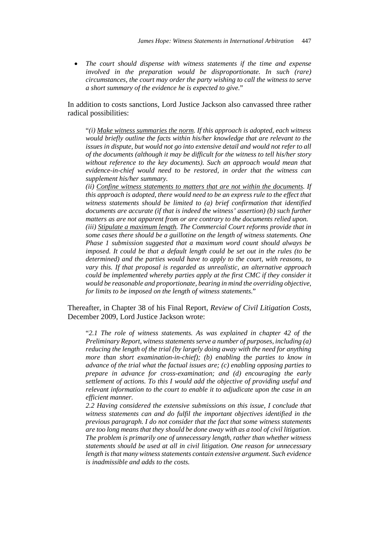• *The court should dispense with witness statements if the time and expense involved in the preparation would be disproportionate. In such (rare) circumstances, the court may order the party wishing to call the witness to serve a short summary of the evidence he is expected to give.*"

In addition to costs sanctions, Lord Justice Jackson also canvassed three rather radical possibilities:

"*(i) Make witness summaries the norm. If this approach is adopted, each witness would briefly outline the facts within his/her knowledge that are relevant to the issues in dispute, but would not go into extensive detail and would not refer to all of the documents (although it may be difficult for the witness to tell his/her story without reference to the key documents). Such an approach would mean that evidence-in-chief would need to be restored, in order that the witness can supplement his/her summary.*

*(ii) Confine witness statements to matters that are not within the documents. If this approach is adopted, there would need to be an express rule to the effect that witness statements should be limited to (a) brief confirmation that identified documents are accurate (if that is indeed the witness' assertion) (b) such further matters as are not apparent from or are contrary to the documents relied upon. (iii) Stipulate a maximum length. The Commercial Court reforms provide that in some cases there should be a guillotine on the length of witness statements. One Phase 1 submission suggested that a maximum word count should always be imposed. It could be that a default length could be set out in the rules (to be determined) and the parties would have to apply to the court, with reasons, to vary this. If that proposal is regarded as unrealistic, an alternative approach could be implemented whereby parties apply at the first CMC if they consider it would be reasonable and proportionate, bearing in mind the overriding objective, for limits to be imposed on the length of witness statements.*"

Thereafter, in Chapter 38 of his Final Report, *Review of Civil Litigation Costs*, December 2009, Lord Justice Jackson wrote:

"*2.1 The role of witness statements. As was explained in chapter 42 of the Preliminary Report, witness statements serve a number of purposes, including (a) reducing the length of the trial (by largely doing away with the need for anything more than short examination-in-chief); (b) enabling the parties to know in advance of the trial what the factual issues are; (c) enabling opposing parties to prepare in advance for cross-examination; and (d) encouraging the early settlement of actions. To this I would add the objective of providing useful and relevant information to the court to enable it to adjudicate upon the case in an efficient manner.* 

*2.2 Having considered the extensive submissions on this issue, I conclude that witness statements can and do fulfil the important objectives identified in the previous paragraph. I do not consider that the fact that some witness statements are too long means that they should be done away with as a tool of civil litigation. The problem is primarily one of unnecessary length, rather than whether witness statements should be used at all in civil litigation. One reason for unnecessary length is that many witness statements contain extensive argument. Such evidence is inadmissible and adds to the costs.*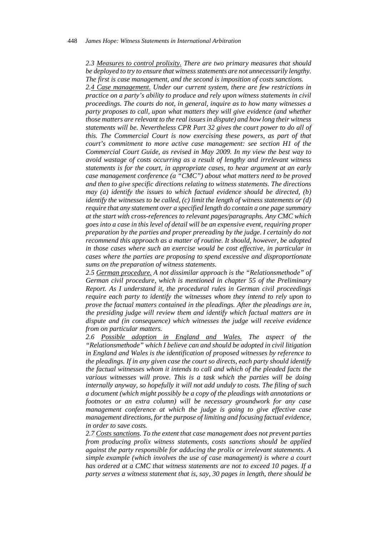*2.3 Measures to control prolixity. There are two primary measures that should be deployed to try to ensure that witness statements are not unnecessarily lengthy. The first is case management, and the second is imposition of costs sanctions. 2.4 Case management. Under our current system, there are few restrictions in practice on a party's ability to produce and rely upon witness statements in civil proceedings. The courts do not, in general, inquire as to how many witnesses a party proposes to call, upon what matters they will give evidence (and whether those matters are relevant to the real issuesin dispute) and how long their witness statements will be. Nevertheless CPR Part 32 gives the court power to do all of this. The Commercial Court is now exercising these powers, as part of that court's commitment to more active case management: see section H1 of the Commercial Court Guide, as revised in May 2009. In my view the best way to avoid wastage of costs occurring as a result of lengthy and irrelevant witness statements is for the court, in appropriate cases, to hear argument at an early case management conference (a "CMC") about what matters need to be proved and then to give specific directions relating to witness statements. The directions may (a) identify the issues to which factual evidence should be directed, (b) identify the witnesses to be called, (c) limit the length of witness statements or (d) require that any statement over a specified length do contain a one page summary at the start with cross-references to relevant pages/paragraphs. Any CMC which goes into a case in this level of detail will be an expensive event, requiring proper preparation by the parties and proper prereading by the judge. I certainly do not recommend this approach as a matter of routine. It should, however, be adopted in those cases where such an exercise would be cost effective, in particular in cases where the parties are proposing to spend excessive and disproportionate sums on the preparation of witness statements.*

*2.5 German procedure. A not dissimilar approach is the "Relationsmethode" of German civil procedure, which is mentioned in chapter 55 of the Preliminary Report. As I understand it, the procedural rules in German civil proceedings require each party to identify the witnesses whom they intend to rely upon to prove the factual matters contained in the pleadings. After the pleadings are in, the presiding judge will review them and identify which factual matters are in dispute and (in consequence) which witnesses the judge will receive evidence from on particular matters.* 

*2.6 Possible adoption in England and Wales. The aspect of the "Relationsmethode" which I believe can and should be adopted in civil litigation in England and Wales is the identification of proposed witnesses by reference to the pleadings. If in any given case the court so directs, each party should identify the factual witnesses whom it intends to call and which of the pleaded facts the various witnesses will prove. This is a task which the parties will be doing internally anyway, so hopefully it will not add unduly to costs. The filing of such a document (which might possibly be a copy of the pleadings with annotations or footnotes or an extra column) will be necessary groundwork for any case management conference at which the judge is going to give effective case management directions, for the purpose of limiting and focusing factual evidence, in order to save costs.*

*2.7 Costs sanctions. To the extent that case management does not prevent parties from producing prolix witness statements, costs sanctions should be applied against the party responsible for adducing the prolix or irrelevant statements. A simple example (which involves the use of case management) is where a court has ordered at a CMC that witness statements are not to exceed 10 pages. If a party serves a witness statement that is, say, 30 pages in length, there should be*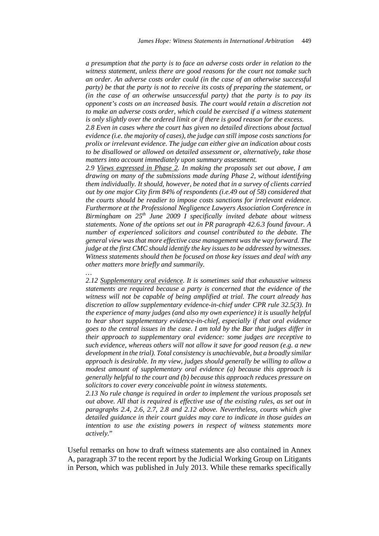*a presumption that the party is to face an adverse costs order in relation to the witness statement, unless there are good reasons for the court not tomake such an order. An adverse costs order could (in the case of an otherwise successful party) be that the party is not to receive its costs of preparing the statement, or (in the case of an otherwise unsuccessful party) that the party is to pay its opponent's costs on an increased basis. The court would retain a discretion not to make an adverse costs order, which could be exercised if a witness statement is only slightly over the ordered limit or if there is good reason for the excess.* 

*2.8 Even in cases where the court has given no detailed directions about factual evidence (i.e. the majority of cases), the judge can still impose costs sanctions for prolix or irrelevant evidence. The judge can either give an indication about costs to be disallowed or allowed on detailed assessment or, alternatively, take those matters into account immediately upon summary assessment.* 

*2.9 Views expressed in Phase 2. In making the proposals set out above, I am drawing on many of the submissions made during Phase 2, without identifying them individually. It should, however, be noted that in a survey of clients carried out by one major City firm 84% of respondents (i.e.49 out of 58) considered that the courts should be readier to impose costs sanctions for irrelevant evidence. Furthermore at the Professional Negligence Lawyers Association Conference in Birmingham on 25th June 2009 I specifically invited debate about witness statements. None of the options set out in PR paragraph 42.6.3 found favour. A number of experienced solicitors and counsel contributed to the debate. The general view was that more effective case management was the way forward. The judge at the first CMC should identify the key issues to be addressed by witnesses. Witness statements should then be focused on those key issues and deal with any other matters more briefly and summarily.*

*…*

*2.12 Supplementary oral evidence. It is sometimes said that exhaustive witness statements are required because a party is concerned that the evidence of the witness will not be capable of being amplified at trial. The court already has discretion to allow supplementary evidence-in-chief under CPR rule 32.5(3). In the experience of many judges (and also my own experience) it is usually helpful to hear short supplementary evidence-in-chief, especially if that oral evidence goes to the central issues in the case. I am told by the Bar that judges differ in their approach to supplementary oral evidence: some judges are receptive to such evidence, whereas others will not allow it save for good reason (e.g. a new development in the trial). Total consistency is unachievable, but a broadly similar approach is desirable. In my view, judges should generally be willing to allow a modest amount of supplementary oral evidence (a) because this approach is generally helpful to the court and (b) because this approach reduces pressure on solicitors to cover every conceivable point in witness statements.*

*2.13 No rule change is required in order to implement the various proposals set out above. All that is required is effective use of the existing rules, as set out in paragraphs 2.4, 2.6, 2.7, 2.8 and 2.12 above. Nevertheless, courts which give detailed guidance in their court guides may care to indicate in those guides an intention to use the existing powers in respect of witness statements more actively.*"

Useful remarks on how to draft witness statements are also contained in Annex A, paragraph 37 to the recent report by the Judicial Working Group on Litigants in Person, which was published in July 2013. While these remarks specifically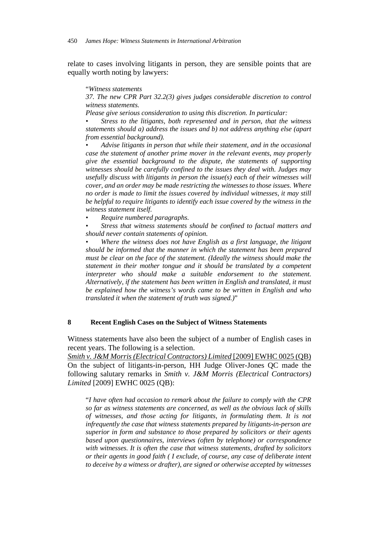relate to cases involving litigants in person, they are sensible points that are equally worth noting by lawyers:

#### "*Witness statements*

*37. The new CPR Part 32.2(3) gives judges considerable discretion to control witness statements.* 

*Please give serious consideration to using this discretion. In particular:*

*• Stress to the litigants, both represented and in person, that the witness statements should a) address the issues and b) not address anything else (apart from essential background).* 

*• Advise litigants in person that while their statement, and in the occasional case the statement of another prime mover in the relevant events, may properly give the essential background to the dispute, the statements of supporting witnesses should be carefully confined to the issues they deal with. Judges may usefully discuss with litigants in person the issue(s) each of their witnesses will cover, and an order may be made restricting the witnesses to those issues. Where no order is made to limit the issues covered by individual witnesses, it may still be helpful to require litigants to identify each issue covered by the witness in the witness statement itself.* 

*• Require numbered paragraphs.*

*• Stress that witness statements should be confined to factual matters and should never contain statements of opinion.*

*• Where the witness does not have English as a first language, the litigant should be informed that the manner in which the statement has been prepared must be clear on the face of the statement. (Ideally the witness should make the statement in their mother tongue and it should be translated by a competent interpreter who should make a suitable endorsement to the statement. Alternatively, if the statement has been written in English and translated, it must be explained how the witness's words came to be written in English and who translated it when the statement of truth was signed.)*"

#### **8 Recent English Cases on the Subject of Witness Statements**

Witness statements have also been the subject of a number of English cases in recent years. The following is a selection.

*Smith v. J&M Morris (Electrical Contractors) Limited* [2009] EWHC 0025 (QB) On the subject of litigants-in-person, HH Judge Oliver-Jones QC made the following salutary remarks in *Smith v. J&M Morris (Electrical Contractors) Limited* [2009] EWHC 0025 (QB):

"*I have often had occasion to remark about the failure to comply with the CPR so far as witness statements are concerned, as well as the obvious lack of skills of witnesses, and those acting for litigants, in formulating them. It is not infrequently the case that witness statements prepared by litigants-in-person are superior in form and substance to those prepared by solicitors or their agents based upon questionnaires, interviews (often by telephone) or correspondence with witnesses. It is often the case that witness statements, drafted by solicitors or their agents in good faith ( I exclude, of course, any case of deliberate intent to deceive by a witness or drafter), are signed or otherwise accepted by witnesses*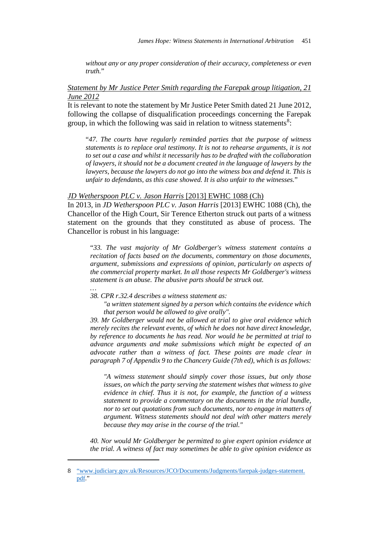*without any or any proper consideration of their accuracy, completeness or even truth.*"

### *Statement by Mr Justice Peter Smith regarding the Farepak group litigation, 21 June 2012*

It is relevant to note the statement by Mr Justice Peter Smith dated 21 June 2012, following the collapse of disqualification proceedings concerning the Farepak group, in which the following was said in relation to witness statements<sup>[8](#page-14-0)</sup>:

"*47. The courts have regularly reminded parties that the purpose of witness statements is to replace oral testimony. It is not to rehearse arguments, it is not to set out a case and whilst it necessarily has to be drafted with the collaboration of lawyers, it should not be a document created in the language of lawyers by the lawyers, because the lawyers do not go into the witness box and defend it. This is unfair to defendants, as this case showed. It is also unfair to the witnesses.*"

#### *JD Wetherspoon PLC v. Jason Harris* [2013] EWHC 1088 (Ch)

In 2013, in *JD Wetherspoon PLC v. Jason Harris* [2013] EWHC 1088 (Ch), the Chancellor of the High Court, Sir Terence Etherton struck out parts of a witness statement on the grounds that they constituted as abuse of process. The Chancellor is robust in his language:

"*33. The vast majority of Mr Goldberger's witness statement contains a recitation of facts based on the documents, commentary on those documents, argument, submissions and expressions of opinion, particularly on aspects of the commercial property market. In all those respects Mr Goldberger's witness statement is an abuse. The abusive parts should be struck out.*

#### *38. CPR r.32.4 describes a witness statement as:*

*…*

 $\overline{\phantom{a}}$ 

*"a written statement signed by a person which contains the evidence which that person would be allowed to give orally".*

*39. Mr Goldberger would not be allowed at trial to give oral evidence which merely recites the relevant events, of which he does not have direct knowledge, by reference to documents he has read. Nor would he be permitted at trial to advance arguments and make submissions which might be expected of an advocate rather than a witness of fact. These points are made clear in paragraph 7 of Appendix 9 to the Chancery Guide (7th ed), which is as follows:* 

*"A witness statement should simply cover those issues, but only those issues, on which the party serving the statement wishes that witness to give evidence in chief. Thus it is not, for example, the function of a witness statement to provide a commentary on the documents in the trial bundle, nor to set out quotations from such documents, nor to engage in matters of argument. Witness statements should not deal with other matters merely because they may arise in the course of the trial."*

*40. Nor would Mr Goldberger be permitted to give expert opinion evidence at the trial. A witness of fact may sometimes be able to give opinion evidence as* 

<span id="page-14-0"></span><sup>8</sup> ["www.judiciary.gov.uk/Resources/JCO/Documents/Judgments/farepak-judges-statement.](http://)  [pdf.](http://)"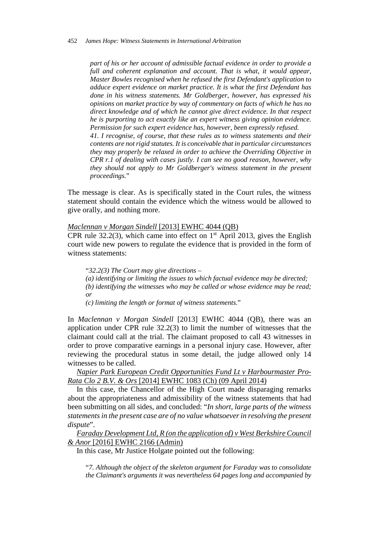*part of his or her account of admissible factual evidence in order to provide a full and coherent explanation and account. That is what, it would appear, Master Bowles recognised when he refused the first Defendant's application to adduce expert evidence on market practice. It is what the first Defendant has done in his witness statements. Mr Goldberger, however, has expressed his opinions on market practice by way of commentary on facts of which he has no direct knowledge and of which he cannot give direct evidence. In that respect he is purporting to act exactly like an expert witness giving opinion evidence. Permission for such expert evidence has, however, been expressly refused. 41. I recognise, of course, that these rules as to witness statements and their contents are not rigid statutes. It is conceivable that in particular circumstances they may properly be relaxed in order to achieve the Overriding Objective in CPR r.1 of dealing with cases justly. I can see no good reason, however, why they should not apply to Mr Goldberger's witness statement in the present proceedings.*"

The message is clear. As is specifically stated in the Court rules, the witness statement should contain the evidence which the witness would be allowed to give orally, and nothing more.

#### *Maclennan v Morgan Sindell* [2013] EWHC 4044 (QB)

CPR rule 32.2(3), which came into effect on  $1<sup>st</sup>$  April 2013, gives the English court wide new powers to regulate the evidence that is provided in the form of witness statements:

"*32.2(3) The Court may give directions – (a) identifying or limiting the issues to which factual evidence may be directed; (b) identifying the witnesses who may be called or whose evidence may be read; or*

*(c) limiting the length or format of witness statements.*"

In *Maclennan v Morgan Sindell* [2013] EWHC 4044 (QB), there was an application under CPR rule 32.2(3) to limit the number of witnesses that the claimant could call at the trial. The claimant proposed to call 43 witnesses in order to prove comparative earnings in a personal injury case. However, after reviewing the procedural status in some detail, the judge allowed only 14 witnesses to be called.

*Napier Park European Credit Opportunities Fund Lt v Harbourmaster Pro-Rata Clo 2 B.V. & Ors* [2014] EWHC 1083 (Ch) (09 April 2014)

In this case, the Chancellor of the High Court made disparaging remarks about the appropriateness and admissibility of the witness statements that had been submitting on all sides, and concluded: "*In short, large parts of the witness statements in the present case are of no value whatsoever in resolving the present dispute*".

*Faraday Development Ltd, R (on the application of) v West Berkshire Council & Anor* [2016] EWHC 2166 (Admin)

In this case, Mr Justice Holgate pointed out the following:

"*7. Although the object of the skeleton argument for Faraday was to consolidate the Claimant's arguments it was nevertheless 64 pages long and accompanied by*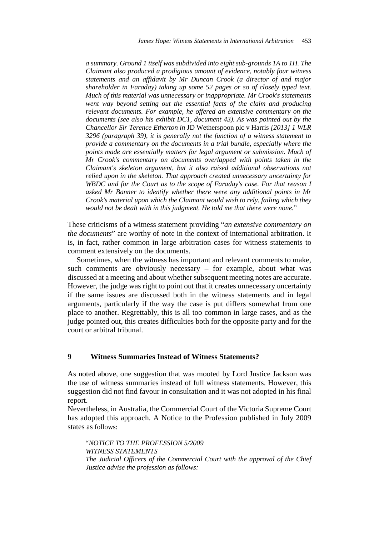*a summary. Ground 1 itself was subdivided into eight sub-grounds 1A to 1H. The Claimant also produced a prodigious amount of evidence, notably four witness statements and an affidavit by Mr Duncan Crook (a director of and major shareholder in Faraday) taking up some 52 pages or so of closely typed text. Much of this material was unnecessary or inappropriate. Mr Crook's statements went way beyond setting out the essential facts of the claim and producing relevant documents. For example, he offered an extensive commentary on the documents (see also his exhibit DC1, document 43). As was pointed out by the Chancellor Sir Terence Etherton in* JD Wetherspoon plc v Harris *[2013] 1 WLR 3296 (paragraph 39), it is generally not the function of a witness statement to provide a commentary on the documents in a trial bundle, especially where the points made are essentially matters for legal argument or submission. Much of Mr Crook's commentary on documents overlapped with points taken in the Claimant's skeleton argument, but it also raised additional observations not relied upon in the skeleton. That approach created unnecessary uncertainty for WBDC and for the Court as to the scope of Faraday's case. For that reason I asked Mr Banner to identify whether there were any additional points in Mr Crook's material upon which the Claimant would wish to rely, failing which they would not be dealt with in this judgment. He told me that there were none.*"

These criticisms of a witness statement providing "*an extensive commentary on the documents*" are worthy of note in the context of international arbitration. It is, in fact, rather common in large arbitration cases for witness statements to comment extensively on the documents.

Sometimes, when the witness has important and relevant comments to make, such comments are obviously necessary – for example, about what was discussed at a meeting and about whether subsequent meeting notes are accurate. However, the judge was right to point out that it creates unnecessary uncertainty if the same issues are discussed both in the witness statements and in legal arguments, particularly if the way the case is put differs somewhat from one place to another. Regrettably, this is all too common in large cases, and as the judge pointed out, this creates difficulties both for the opposite party and for the court or arbitral tribunal.

#### **9 Witness Summaries Instead of Witness Statements?**

As noted above, one suggestion that was mooted by Lord Justice Jackson was the use of witness summaries instead of full witness statements. However, this suggestion did not find favour in consultation and it was not adopted in his final report.

Nevertheless, in Australia, the Commercial Court of the Victoria Supreme Court has adopted this approach. A Notice to the Profession published in July 2009 states as follows:

"*NOTICE TO THE PROFESSION 5/2009 WITNESS STATEMENTS The Judicial Officers of the Commercial Court with the approval of the Chief Justice advise the profession as follows:*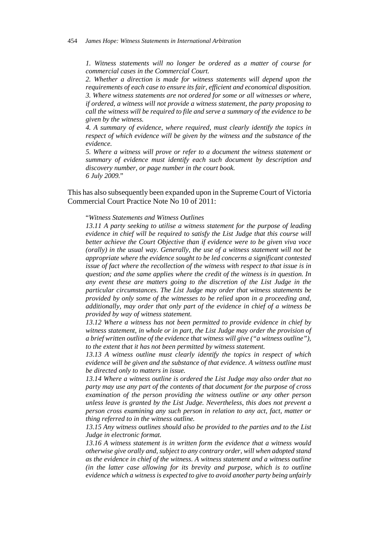*1. Witness statements will no longer be ordered as a matter of course for commercial cases in the Commercial Court.*

*2. Whether a direction is made for witness statements will depend upon the requirements of each case to ensure its fair, efficient and economical disposition. 3. Where witness statements are not ordered for some or all witnesses or where, if ordered, a witness will not provide a witness statement, the party proposing to call the witness will be required to file and serve a summary of the evidence to be given by the witness.* 

*4. A summary of evidence, where required, must clearly identify the topics in respect of which evidence will be given by the witness and the substance of the evidence.* 

*5. Where a witness will prove or refer to a document the witness statement or summary of evidence must identify each such document by description and discovery number, or page number in the court book. 6 July 2009.*"

This has also subsequently been expanded upon in the Supreme Court of Victoria Commercial Court Practice Note No 10 of 2011:

"*Witness Statements and Witness Outlines* 

*13.11 A party seeking to utilise a witness statement for the purpose of leading evidence in chief will be required to satisfy the List Judge that this course will better achieve the Court Objective than if evidence were to be given viva voce (orally) in the usual way. Generally, the use of a witness statement will not be appropriate where the evidence sought to be led concerns a significant contested issue of fact where the recollection of the witness with respect to that issue is in question; and the same applies where the credit of the witness is in question. In any event these are matters going to the discretion of the List Judge in the particular circumstances. The List Judge may order that witness statements be provided by only some of the witnesses to be relied upon in a proceeding and, additionally, may order that only part of the evidence in chief of a witness be provided by way of witness statement.* 

*13.12 Where a witness has not been permitted to provide evidence in chief by witness statement, in whole or in part, the List Judge may order the provision of a brief written outline of the evidence that witness will give ("a witness outline"), to the extent that it has not been permitted by witness statement.* 

*13.13 A witness outline must clearly identify the topics in respect of which evidence will be given and the substance of that evidence. A witness outline must be directed only to matters in issue.* 

*13.14 Where a witness outline is ordered the List Judge may also order that no party may use any part of the contents of that document for the purpose of cross examination of the person providing the witness outline or any other person unless leave is granted by the List Judge. Nevertheless, this does not prevent a person cross examining any such person in relation to any act, fact, matter or thing referred to in the witness outline.* 

*13.15 Any witness outlines should also be provided to the parties and to the List Judge in electronic format.*

*13.16 A witness statement is in written form the evidence that a witness would otherwise give orally and, subject to any contrary order, will when adopted stand as the evidence in chief of the witness. A witness statement and a witness outline (in the latter case allowing for its brevity and purpose, which is to outline evidence which a witness is expected to give to avoid another party being unfairly*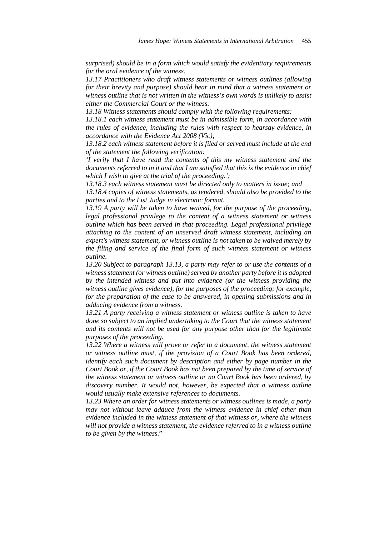*surprised) should be in a form which would satisfy the evidentiary requirements for the oral evidence of the witness.*

*13.17 Practitioners who draft witness statements or witness outlines (allowing for their brevity and purpose) should bear in mind that a witness statement or witness outline that is not written in the witness's own words is unlikely to assist either the Commercial Court or the witness.*

*13.18 Witness statements should comply with the following requirements:*

*13.18.1 each witness statement must be in admissible form, in accordance with the rules of evidence, including the rules with respect to hearsay evidence, in accordance with the Evidence Act 2008 (Vic);* 

*13.18.2 each witness statement before it is filed or served must include at the end of the statement the following verification:* 

*'I verify that I have read the contents of this my witness statement and the documents referred to in it and that I am satisfied that this is the evidence in chief which I wish to give at the trial of the proceeding.';* 

*13.18.3 each witness statement must be directed only to matters in issue; and 13.18.4 copies of witness statements, as tendered, should also be provided to the* 

*parties and to the List Judge in electronic format.*

*13.19 A party will be taken to have waived, for the purpose of the proceeding, legal professional privilege to the content of a witness statement or witness outline which has been served in that proceeding. Legal professional privilege attaching to the content of an unserved draft witness statement, including an expert's witness statement, or witness outline is not taken to be waived merely by the filing and service of the final form of such witness statement or witness outline.* 

*13.20 Subject to paragraph 13.13, a party may refer to or use the contents of a witness statement (or witness outline) served by another party before it is adopted by the intended witness and put into evidence (or the witness providing the witness outline gives evidence), for the purposes of the proceeding; for example, for the preparation of the case to be answered, in opening submissions and in adducing evidence from a witness.* 

*13.21 A party receiving a witness statement or witness outline is taken to have done so subject to an implied undertaking to the Court that the witness statement and its contents will not be used for any purpose other than for the legitimate purposes of the proceeding.*

*13.22 Where a witness will prove or refer to a document, the witness statement or witness outline must, if the provision of a Court Book has been ordered, identify each such document by description and either by page number in the Court Book or, if the Court Book has not been prepared by the time of service of the witness statement or witness outline or no Court Book has been ordered, by discovery number. It would not, however, be expected that a witness outline would usually make extensive references to documents.* 

*13.23 Where an order for witness statements or witness outlines is made, a party may not without leave adduce from the witness evidence in chief other than evidence included in the witness statement of that witness or, where the witness will not provide a witness statement, the evidence referred to in a witness outline to be given by the witness.*"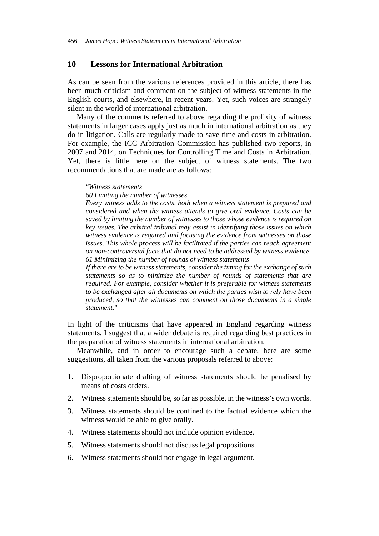## **10 Lessons for International Arbitration**

As can be seen from the various references provided in this article, there has been much criticism and comment on the subject of witness statements in the English courts, and elsewhere, in recent years. Yet, such voices are strangely silent in the world of international arbitration.

Many of the comments referred to above regarding the prolixity of witness statements in larger cases apply just as much in international arbitration as they do in litigation. Calls are regularly made to save time and costs in arbitration. For example, the ICC Arbitration Commission has published two reports, in 2007 and 2014, on Techniques for Controlling Time and Costs in Arbitration. Yet, there is little here on the subject of witness statements. The two recommendations that are made are as follows:

"*Witness statements* 

*60 Limiting the number of witnesses*

*Every witness adds to the costs, both when a witness statement is prepared and considered and when the witness attends to give oral evidence. Costs can be saved by limiting the number of witnesses to those whose evidence is required on key issues. The arbitral tribunal may assist in identifying those issues on which witness evidence is required and focusing the evidence from witnesses on those*  issues. This whole process will be facilitated if the parties can reach agreement *on non-controversial facts that do not need to be addressed by witness evidence. 61 Minimizing the number of rounds of witness statements*

*If there are to be witness statements, consider the timing for the exchange of such statements so as to minimize the number of rounds of statements that are required. For example, consider whether it is preferable for witness statements to be exchanged after all documents on which the parties wish to rely have been produced, so that the witnesses can comment on those documents in a single statement.*"

In light of the criticisms that have appeared in England regarding witness statements, I suggest that a wider debate is required regarding best practices in the preparation of witness statements in international arbitration.

Meanwhile, and in order to encourage such a debate, here are some suggestions, all taken from the various proposals referred to above:

- 1. Disproportionate drafting of witness statements should be penalised by means of costs orders.
- 2. Witness statements should be, so far as possible, in the witness's own words.
- 3. Witness statements should be confined to the factual evidence which the witness would be able to give orally.
- 4. Witness statements should not include opinion evidence.
- 5. Witness statements should not discuss legal propositions.
- 6. Witness statements should not engage in legal argument.